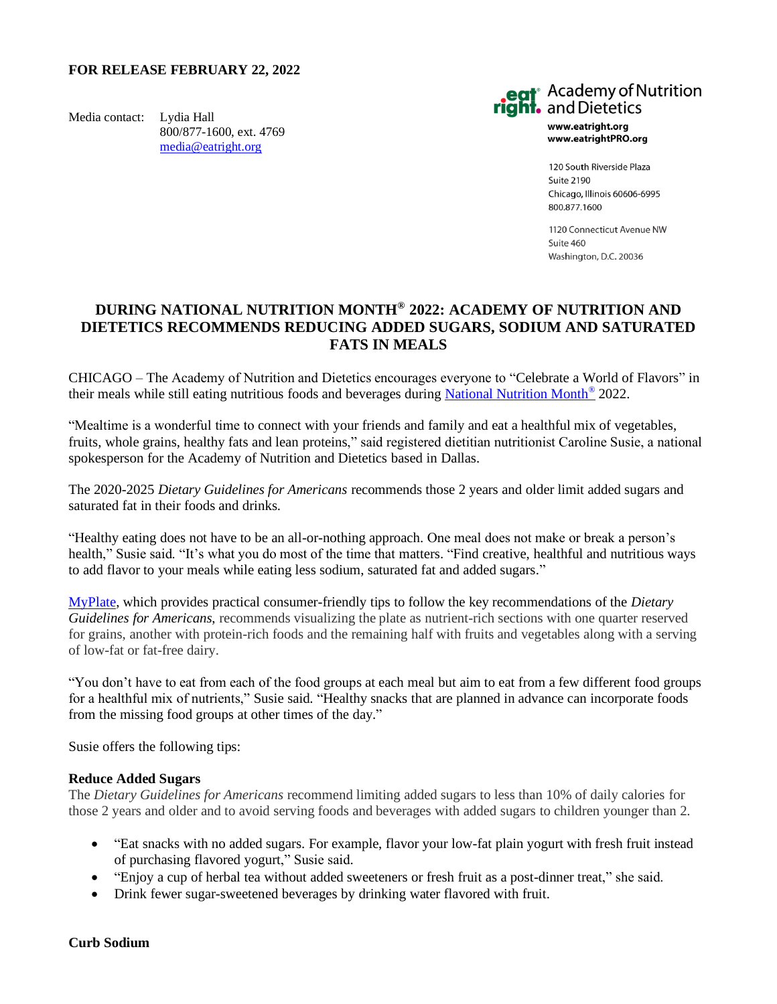## **FOR RELEASE FEBRUARY 22, 2022**

Media contact: Lydia Hall 800/877-1600, ext. 4769 [media@eatright.org](mailto:media@eatright.org)



www.eatright.org www.eatrightPRO.org

120 South Riverside Plaza Suite 2190 Chicago, Illinois 60606-6995 800.877.1600

1120 Connecticut Avenue NW  $S$ uite 460 Washington, D.C. 20036

# **DURING NATIONAL NUTRITION MONTH® 2022: ACADEMY OF NUTRITION AND DIETETICS RECOMMENDS REDUCING ADDED SUGARS, SODIUM AND SATURATED FATS IN MEALS**

CHICAGO – The Academy of Nutrition and Dietetics encourages everyone to "Celebrate a World of Flavors" in their meals while still eating nutritious foods and beverages during [National Nutrition Month](https://www.eatright.org/food/resources/national-nutrition-month)<sup>®</sup> 2022.

"Mealtime is a wonderful time to connect with your friends and family and eat a healthful mix of vegetables, fruits, whole grains, healthy fats and lean proteins," said registered dietitian nutritionist Caroline Susie, a national spokesperson for the Academy of Nutrition and Dietetics based in Dallas.

The 2020-2025 *Dietary Guidelines for Americans* recommends those 2 years and older limit added sugars and saturated fat in their foods and drinks.

"Healthy eating does not have to be an all-or-nothing approach. One meal does not make or break a person's health," Susie said. "It's what you do most of the time that matters. "Find creative, healthful and nutritious ways to add flavor to your meals while eating less sodium, saturated fat and added sugars."

[MyPlate,](https://www.eatright.org/food/nutrition/dietary-guidelines-and-myplate/get-the-facts-on-dietary-guidelines-myplate-and-food-labels) which provides practical consumer-friendly tips to follow the key recommendations of the *Dietary Guidelines for Americans*, recommends visualizing the plate as nutrient-rich sections with one quarter reserved for grains, another with protein-rich foods and the remaining half with fruits and vegetables along with a serving of low-fat or fat-free dairy.

"You don't have to eat from each of the food groups at each meal but aim to eat from a few different food groups for a healthful mix of nutrients," Susie said. "Healthy snacks that are planned in advance can incorporate foods from the missing food groups at other times of the day."

Susie offers the following tips:

#### **Reduce Added Sugars**

The *Dietary Guidelines for Americans* recommend limiting added sugars to less than 10% of daily calories for those 2 years and older and to avoid serving foods and beverages with added sugars to children younger than 2.

- "Eat snacks with no added sugars. For example, flavor your low-fat plain yogurt with fresh fruit instead of purchasing flavored yogurt," Susie said.
- "Enjoy a cup of herbal tea without added sweeteners or fresh fruit as a post-dinner treat," she said.
- Drink fewer sugar-sweetened beverages by drinking water flavored with fruit.